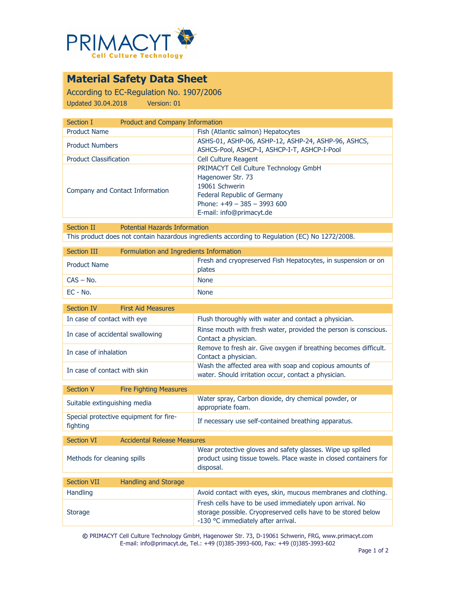

## **Material Safety Data Sheet**

According to EC-Regulation No. 1907/2006 Updated 30.04.2018 Version: 01

| <b>Product and Company Information</b><br>Section I |                                                                                                                                                                         |
|-----------------------------------------------------|-------------------------------------------------------------------------------------------------------------------------------------------------------------------------|
| <b>Product Name</b>                                 | Fish (Atlantic salmon) Hepatocytes                                                                                                                                      |
| <b>Product Numbers</b>                              | ASHS-01, ASHP-06, ASHP-12, ASHP-24, ASHP-96, ASHCS,<br>ASHCS-Pool, ASHCP-I, ASHCP-I-T, ASHCP-I-Pool                                                                     |
| <b>Product Classification</b>                       | <b>Cell Culture Reagent</b>                                                                                                                                             |
| Company and Contact Information                     | PRIMACYT Cell Culture Technology GmbH<br>Hagenower Str. 73<br>19061 Schwerin<br>Federal Republic of Germany<br>Phone: $+49 - 385 - 3993600$<br>E-mail: info@primacyt.de |

Section II Potential Hazards Information This product does not contain hazardous ingredients according to Regulation (EC) No 1272/2008.

| Section III         | Formulation and Ingredients Information |                                                                         |
|---------------------|-----------------------------------------|-------------------------------------------------------------------------|
| <b>Product Name</b> |                                         | Fresh and cryopreserved Fish Hepatocytes, in suspension or on<br>plates |
| $CAS - No.$         |                                         | <b>None</b>                                                             |
| EC - No.            |                                         | <b>None</b>                                                             |

| Section IV                       | <b>First Aid Measures</b> |                                                                                                                 |
|----------------------------------|---------------------------|-----------------------------------------------------------------------------------------------------------------|
| In case of contact with eye      |                           | Flush thoroughly with water and contact a physician.                                                            |
| In case of accidental swallowing |                           | Rinse mouth with fresh water, provided the person is conscious.<br>Contact a physician.                         |
| In case of inhalation            |                           | Remove to fresh air. Give oxygen if breathing becomes difficult.<br>Contact a physician.                        |
| In case of contact with skin     |                           | Wash the affected area with soap and copious amounts of<br>water. Should irritation occur, contact a physician. |

| Section V  | <b>Fire Fighting Measures</b>          |                                                                           |
|------------|----------------------------------------|---------------------------------------------------------------------------|
|            | Suitable extinguishing media           | Water spray, Carbon dioxide, dry chemical powder, or<br>appropriate foam. |
| fighting   | Special protective equipment for fire- | If necessary use self-contained breathing apparatus.                      |
|            |                                        |                                                                           |
| Section VI | Accidental Delezce Mezcurec            |                                                                           |

| <b>JULIUI VI</b>            | ACCIUCTICAL INCICABLE PICABULES |                                                                                                                                                                 |
|-----------------------------|---------------------------------|-----------------------------------------------------------------------------------------------------------------------------------------------------------------|
| Methods for cleaning spills |                                 | Wear protective gloves and safety glasses. Wipe up spilled<br>product using tissue towels. Place waste in closed containers for<br>disposal.                    |
|                             |                                 |                                                                                                                                                                 |
| <b>Section VII</b>          | Handling and Storage            |                                                                                                                                                                 |
| <b>Handling</b>             |                                 | Avoid contact with eyes, skin, mucous membranes and clothing.                                                                                                   |
| <b>Storage</b>              |                                 | Fresh cells have to be used immediately upon arrival. No<br>storage possible. Cryopreserved cells have to be stored below<br>-130 °C immediately after arrival. |

**©** PRIMACYT Cell Culture Technology GmbH, Hagenower Str. 73, D-19061 Schwerin, FRG, www.primacyt.com E-mail: info@primacyt.de, Tel.: +49 (0)385-3993-600, Fax: +49 (0)385-3993-602